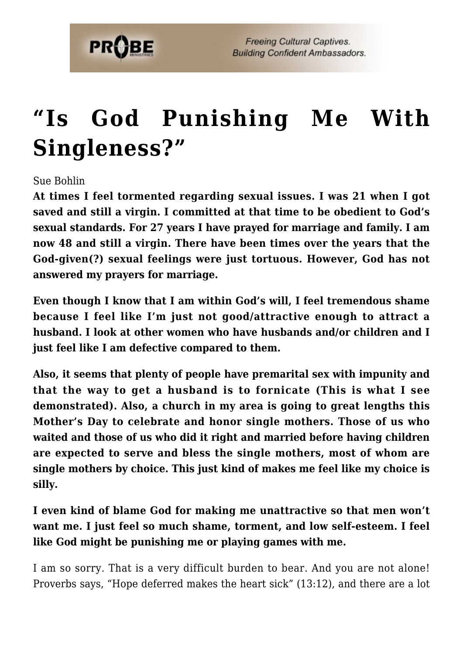

## **["Is God Punishing Me With](https://probe.org/is-god-punishing-me-with-singleness/) [Singleness?"](https://probe.org/is-god-punishing-me-with-singleness/)**

Sue Bohlin

**At times I feel tormented regarding sexual issues. I was 21 when I got saved and still a virgin. I committed at that time to be obedient to God's sexual standards. For 27 years I have prayed for marriage and family. I am now 48 and still a virgin. There have been times over the years that the God-given(?) sexual feelings were just tortuous. However, God has not answered my prayers for marriage.**

**Even though I know that I am within God's will, I feel tremendous shame because I feel like I'm just not good/attractive enough to attract a husband. I look at other women who have husbands and/or children and I just feel like I am defective compared to them.**

**Also, it seems that plenty of people have premarital sex with impunity and that the way to get a husband is to fornicate (This is what I see demonstrated). Also, a church in my area is going to great lengths this Mother's Day to celebrate and honor single mothers. Those of us who waited and those of us who did it right and married before having children are expected to serve and bless the single mothers, most of whom are single mothers by choice. This just kind of makes me feel like my choice is silly.**

**I even kind of blame God for making me unattractive so that men won't want me. I just feel so much shame, torment, and low self-esteem. I feel like God might be punishing me or playing games with me.**

I am so sorry. That is a very difficult burden to bear. And you are not alone! Proverbs says, "Hope deferred makes the heart sick" (13:12), and there are a lot